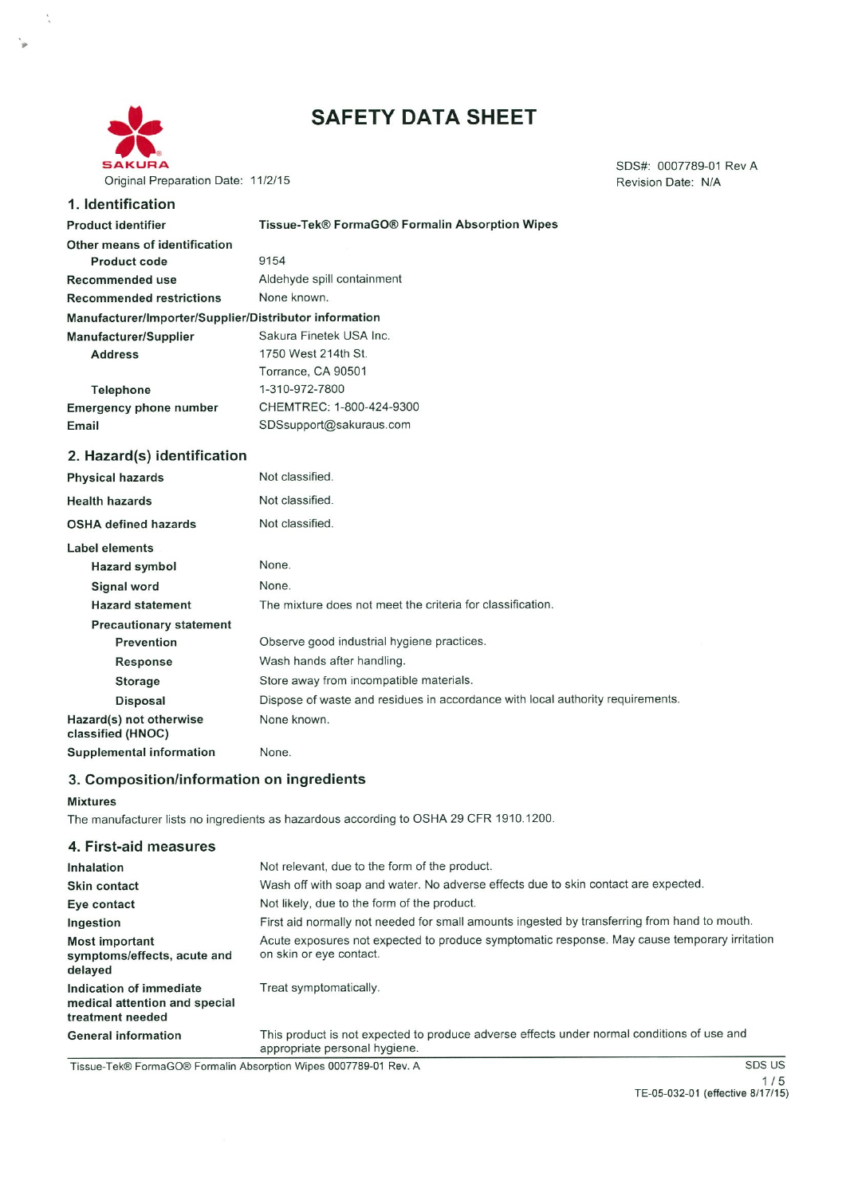

**Product identifier** 

**Address** 

Telephone

Email

**Product code** 

# **SAFETY DATA SHEET**

Revision Date: N/A 1. Identification Tissue-Tek® FormaGO® Formalin Absorption Wipes Other means of identification 9154 Aldehyde spill containment Recommended use **Recommended restrictions** None known. Manufacturer/Importer/Supplier/Distributor information Manufacturer/Supplier Sakura Finetek USA Inc. 1750 West 214th St. Torrance, CA 90501 1-310-972-7800 CHEMTREC: 1-800-424-9300 **Emergency phone number** SDSsupport@sakuraus.com

#### 2. Hazard(s) identification

| <b>Physical hazards</b>                      | Not classified.                                                                |
|----------------------------------------------|--------------------------------------------------------------------------------|
| <b>Health hazards</b>                        | Not classified.                                                                |
| <b>OSHA defined hazards</b>                  | Not classified.                                                                |
| Label elements                               |                                                                                |
| Hazard symbol                                | None.                                                                          |
| Signal word                                  | None.                                                                          |
| <b>Hazard statement</b>                      | The mixture does not meet the criteria for classification.                     |
| <b>Precautionary statement</b>               |                                                                                |
| Prevention                                   | Observe good industrial hygiene practices.                                     |
| Response                                     | Wash hands after handling.                                                     |
| Storage                                      | Store away from incompatible materials.                                        |
| <b>Disposal</b>                              | Dispose of waste and residues in accordance with local authority requirements. |
| Hazard(s) not otherwise<br>classified (HNOC) | None known.                                                                    |
| <b>Supplemental information</b>              | None.                                                                          |

## 3. Composition/information on ingredients

#### **Mixtures**

The manufacturer lists no ingredients as hazardous according to OSHA 29 CFR 1910.1200.

| 4. First-aid measures                                                        |                                                                                                                             |
|------------------------------------------------------------------------------|-----------------------------------------------------------------------------------------------------------------------------|
| Inhalation                                                                   | Not relevant, due to the form of the product.                                                                               |
| Skin contact                                                                 | Wash off with soap and water. No adverse effects due to skin contact are expected.                                          |
| Eye contact                                                                  | Not likely, due to the form of the product.                                                                                 |
| Ingestion                                                                    | First aid normally not needed for small amounts ingested by transferring from hand to mouth.                                |
| <b>Most important</b><br>symptoms/effects, acute and<br>delayed              | Acute exposures not expected to produce symptomatic response. May cause temporary irritation<br>on skin or eye contact.     |
| Indication of immediate<br>medical attention and special<br>treatment needed | Treat symptomatically.                                                                                                      |
| <b>General information</b>                                                   | This product is not expected to produce adverse effects under normal conditions of use and<br>appropriate personal hygiene. |

Tissue-Tek® FormaGO® Formalin Absorption Wipes 0007789-01 Rev. A

SDS US  $1/5$ 

TE-05-032-01 (effective 8/17/15)

SDS#: 0007789-01 Rev A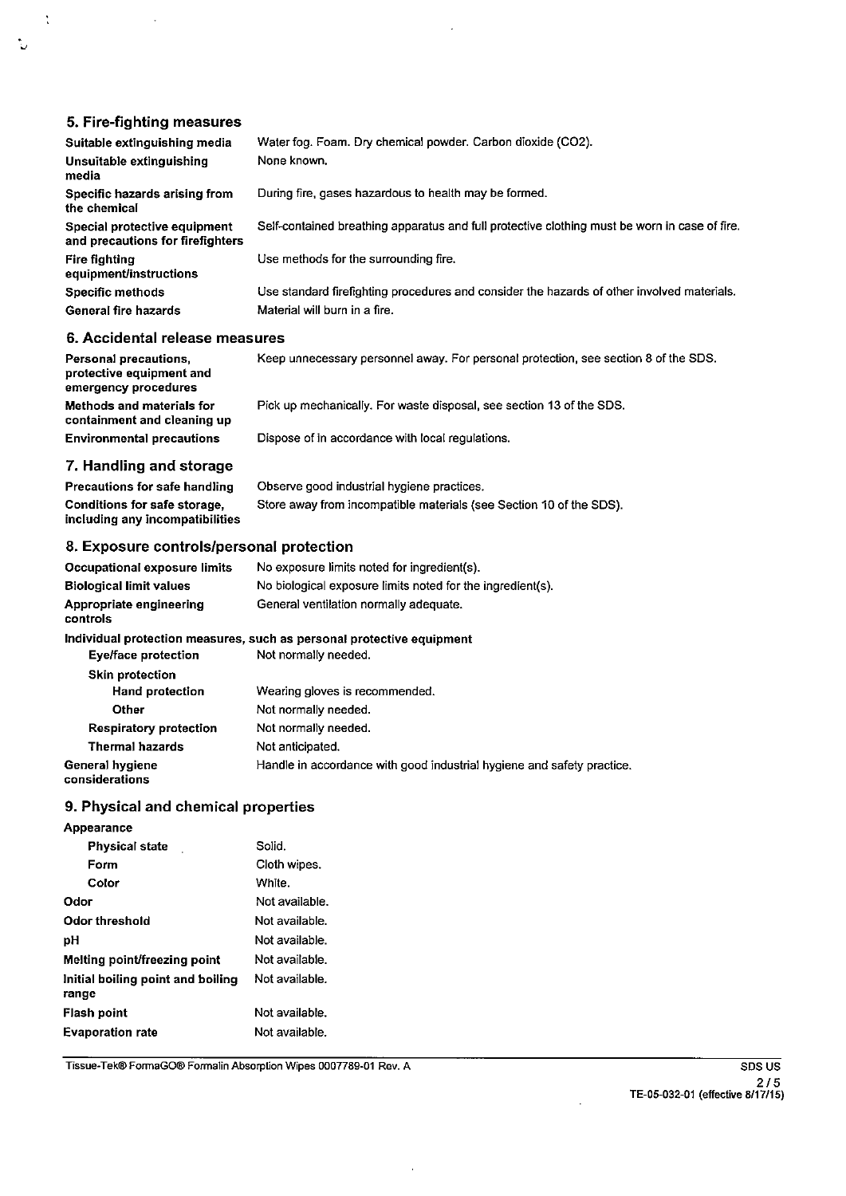# 5. Fire-fighting measures

Ņ

٠.

| Suitable extinguishing media                                     | Water fog. Foam. Dry chemical powder. Carbon dioxide (CO2).                                   |
|------------------------------------------------------------------|-----------------------------------------------------------------------------------------------|
| Unsuitable extinguishing<br>media                                | None known.                                                                                   |
| Specific hazards arising from<br>the chemical                    | During fire, gases hazardous to health may be formed.                                         |
| Special protective equipment<br>and precautions for firefighters | Self-contained breathing apparatus and full protective clothing must be worn in case of fire. |
| <b>Fire fighting</b><br>equipment/instructions                   | Use methods for the surrounding fire.                                                         |
| Specific methods                                                 | Use standard firefighting procedures and consider the hazards of other involved materials.    |
| General fire hazards                                             | Material will burn in a fire.                                                                 |
| 6. Accidental release measures                                   |                                                                                               |
| Personal precautions.                                            | Keep unnecessary personnel away. For personal protection, see section 8 of the SDS.           |

,, protective equipment and emergency procedures Methods and materials for Pick up mechanically. For waste disposal, see section 13 of the SDS. containment and cleaning up **Environmental precautions** Dispose of in accordance with local regulations.

#### 7. Handling and storage

Precautions for safe handling Observe good industrial hygiene practices. Store away from incompatible materials (see Section 10 of the SDS). Conditions for safe storage, including any incompatibilities

## 8. Exposure controls/personal protection

| Occupational exposure limits<br><b>Biological limit values</b> | No exposure limits noted for ingredient(s).<br>No biological exposure limits noted for the ingredient(s). |
|----------------------------------------------------------------|-----------------------------------------------------------------------------------------------------------|
| Appropriate engineering<br>controls                            | General ventilation normally adequate.                                                                    |
|                                                                | Individual protection measures, such as personal protective equipment                                     |
| <b>Eye/face protection</b>                                     | Not normally needed.                                                                                      |
| <b>Skin protection</b>                                         |                                                                                                           |
| <b>Hand protection</b>                                         | Wearing gloves is recommended.                                                                            |
| Other                                                          | Not normally needed.                                                                                      |
| Respiratory protection                                         | Not normally needed.                                                                                      |
| <b>Thermal hazards</b>                                         | Not anticipated.                                                                                          |
| General hygiene<br>considerations                              | Handle in accordance with good industrial hygiene and safety practice.                                    |

## 9. Physical and chemical properties

| Appearance                                 |                |
|--------------------------------------------|----------------|
| <b>Physical state</b>                      | Solid.         |
| Form                                       | Cloth wipes.   |
| Color                                      | White.         |
| Odor                                       | Not available. |
| Odor threshold                             | Not available. |
| рH                                         | Not available. |
| Melting point/freezing point               | Not available. |
| Initial boiling point and boiling<br>range | Not available. |
| Flash point                                | Not available. |
| <b>Evaporation rate</b>                    | Not available. |

Tissue-Tek® FormaGO® Formalin Absorption Wipes 0007789-01 Rev. A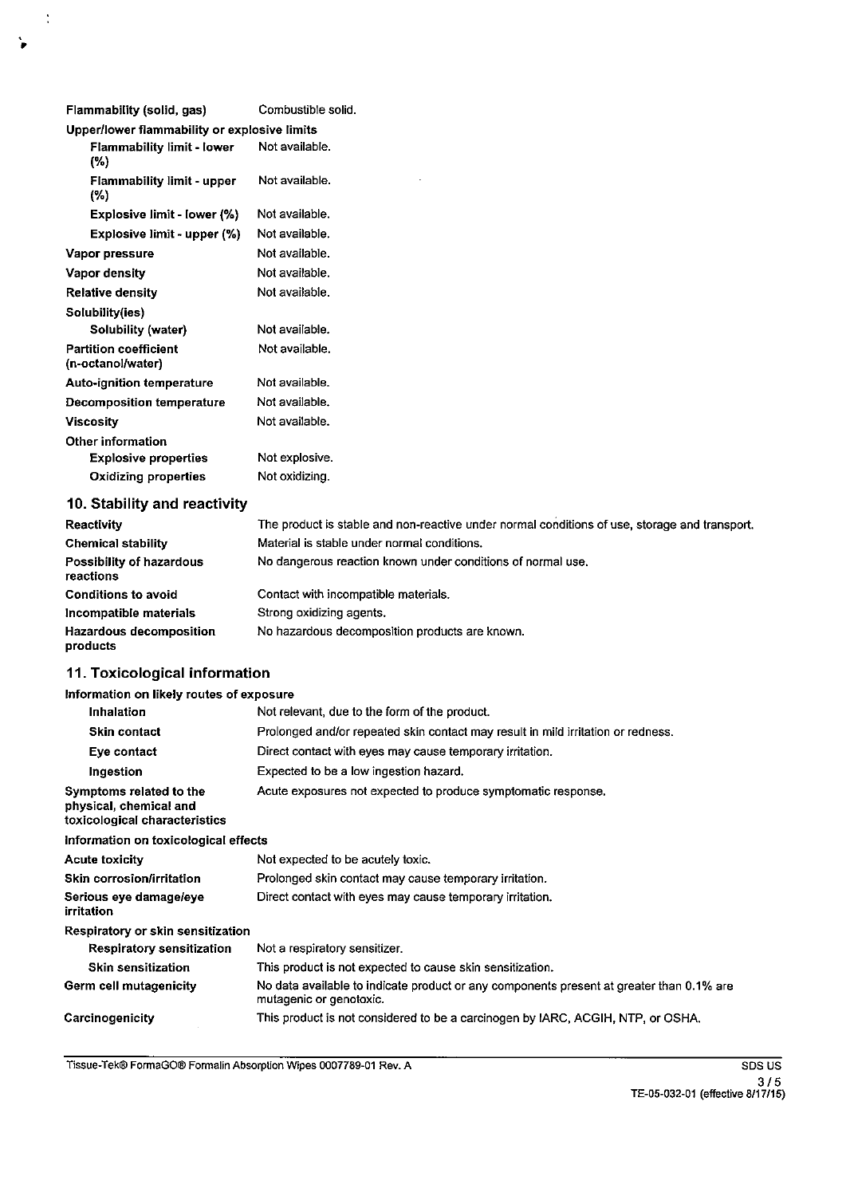| Flammability (solid, gas)                         | Combustible solid. |
|---------------------------------------------------|--------------------|
| Upper/lower flammability or explosive limits      |                    |
| <b>Flammability limit - lower</b><br>(%)          | Not available.     |
| <b>Flammability limit - upper</b><br>(%)          | Not available.     |
| Explosive limit - lower (%)                       | Not available.     |
| Explosive limit - upper (%)                       | Not available.     |
| Vapor pressure                                    | Not available.     |
| Vapor density                                     | Not available.     |
| <b>Relative density</b>                           | Not available.     |
| Solubility(ies)                                   |                    |
| Solubility (water)                                | Not available.     |
| <b>Partition coefficient</b><br>(n-octanol/water) | Not available.     |
| Auto-ignition temperature                         | Not available.     |
| <b>Decomposition temperature</b>                  | Not available.     |
| Viscosity                                         | Not available.     |
| Other information                                 |                    |
| <b>Explosive properties</b>                       | Not explosive.     |
| <b>Oxidizing properties</b>                       | Not oxidizing.     |
|                                                   |                    |

# 10. Stability and reactivity

 $\ddot{\cdot}$ 

 $\ddot{\phantom{0}}$ 

| Reactivity                                 | The product is stable and non-reactive under normal conditions of use, storage and transport. |
|--------------------------------------------|-----------------------------------------------------------------------------------------------|
| <b>Chemical stability</b>                  | Material is stable under normal conditions.                                                   |
| Possibility of hazardous<br>reactions      | No dangerous reaction known under conditions of normal use.                                   |
| <b>Conditions to avoid</b>                 | Contact with incompatible materials.                                                          |
| Incompatible materials                     | Strong oxidizing agents.                                                                      |
| <b>Hazardous decomposition</b><br>products | No hazardous decomposition products are known.                                                |

# 11. Toxicological information

# Information on likely routes of exposure

| Inhalation                                                                         | Not relevant, due to the form of the product.                                                                       |
|------------------------------------------------------------------------------------|---------------------------------------------------------------------------------------------------------------------|
| <b>Skin contact</b>                                                                | Prolonged and/or repeated skin contact may result in mild irritation or redness.                                    |
| Eye contact                                                                        | Direct contact with eyes may cause temporary irritation.                                                            |
| Ingestion                                                                          | Expected to be a low ingestion hazard.                                                                              |
| Symptoms related to the<br>physical, chemical and<br>toxicological characteristics | Acute exposures not expected to produce symptomatic response.                                                       |
| Information on toxicological effects                                               |                                                                                                                     |
| <b>Acute toxicity</b>                                                              | Not expected to be acutely toxic.                                                                                   |
| Skin corrosion/irritation                                                          | Prolonged skin contact may cause temporary irritation.                                                              |
| Serious eye damage/eye<br>irritation                                               | Direct contact with eyes may cause temporary irritation.                                                            |
| Respiratory or skin sensitization                                                  |                                                                                                                     |
| <b>Respiratory sensitization</b>                                                   | Not a respiratory sensitizer.                                                                                       |
| <b>Skin sensitization</b>                                                          | This product is not expected to cause skin sensitization.                                                           |
| Germ cell mutagenicity                                                             | No data available to indicate product or any components present at greater than 0.1% are<br>mutagenic or genotoxic. |
| Carcinogenicity                                                                    | This product is not considered to be a carcinogen by IARC, ACGIH, NTP, or OSHA,                                     |

Tissue-Tek® FormaGO® Formalin Absorption Wipes 0007789-01 Rev. A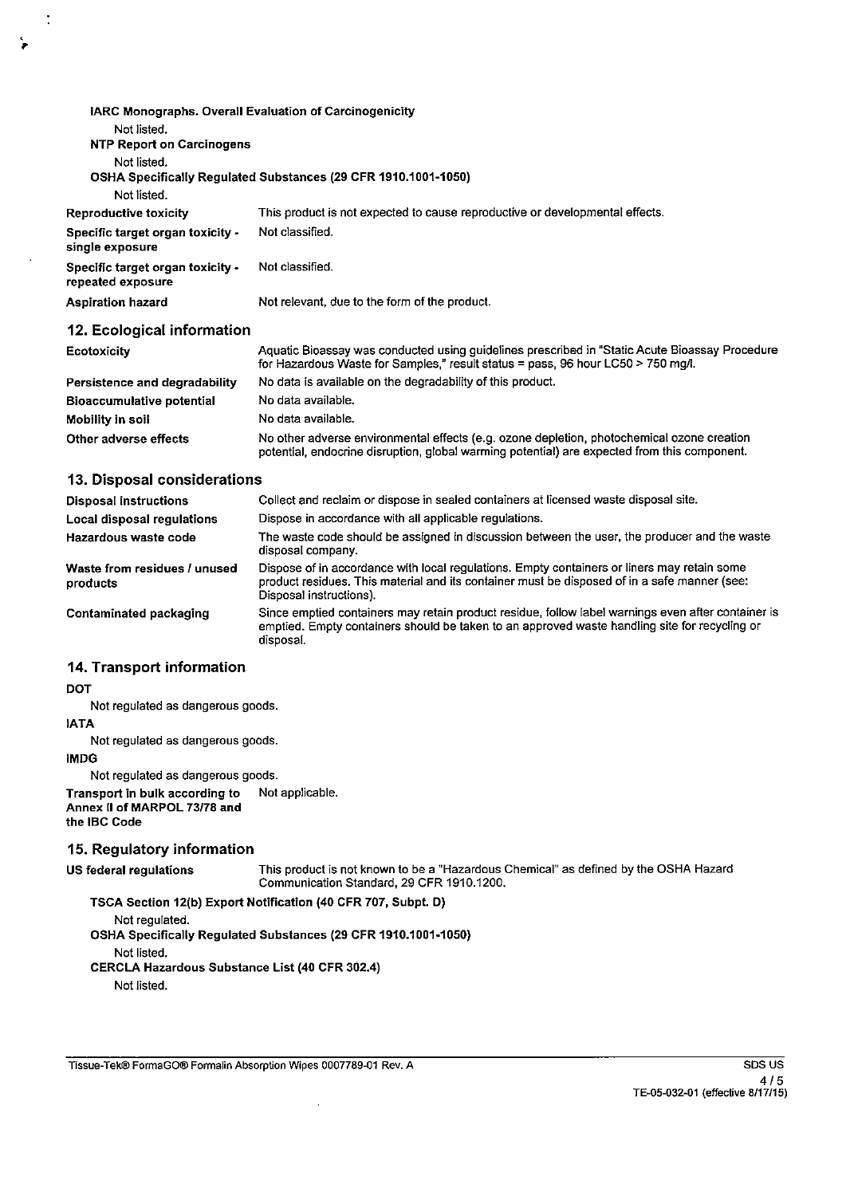| IARC Monographs. Overall Evaluation of Carcinogenicity |                                                                                                                                                                                            |
|--------------------------------------------------------|--------------------------------------------------------------------------------------------------------------------------------------------------------------------------------------------|
| Not listed.                                            |                                                                                                                                                                                            |
| <b>NTP Report on Carcinogens</b>                       |                                                                                                                                                                                            |
| Not listed.                                            |                                                                                                                                                                                            |
|                                                        | OSHA Specifically Regulated Substances (29 CFR 1910.1001-1050)                                                                                                                             |
| Not listed.                                            |                                                                                                                                                                                            |
| Reproductive toxicity                                  | This product is not expected to cause reproductive or developmental effects.                                                                                                               |
| Specific target organ toxicity -<br>single exposure    | Not classified.                                                                                                                                                                            |
| Specific target organ toxicity -<br>repeated exposure  | Not classified.                                                                                                                                                                            |
| <b>Aspiration hazard</b>                               | Not relevant, due to the form of the product.                                                                                                                                              |
| 12. Ecological information                             |                                                                                                                                                                                            |
| <b>Ecotoxicity</b>                                     | Aquatic Bioassay was conducted using guidelines prescribed in "Static Acute Bioassay Procedure<br>for Hazardous Waste for Samples," result status = pass, 96 hour LC50 > 750 mg/l.         |
| Persistence and degradability                          | No data is available on the degradability of this product.                                                                                                                                 |
| <b>Bioaccumulative potential</b>                       | No data available.                                                                                                                                                                         |
| Mobility in soil                                       | No data available.                                                                                                                                                                         |
| Other adverse effects                                  | No other adverse environmental effects (e.g. ozone depletion, photochemical ozone creation<br>potential, endocrine disruption, global warming potential) are expected from this component. |

## 13. Disposal considerations

| <b>Disposal instructions</b>             | Collect and reclaim or dispose in sealed containers at licensed waste disposal site.                                                                                                                                   |
|------------------------------------------|------------------------------------------------------------------------------------------------------------------------------------------------------------------------------------------------------------------------|
| Local disposal regulations               | Dispose in accordance with all applicable regulations.                                                                                                                                                                 |
| Hazardous waste code                     | The waste code should be assigned in discussion between the user, the producer and the waste<br>disposal company.                                                                                                      |
| Waste from residues / unused<br>products | Dispose of in accordance with local regulations. Empty containers or liners may retain some<br>product residues. This material and its container must be disposed of in a safe manner (see:<br>Disposal instructions). |
| <b>Contaminated packaging</b>            | Since emptied containers may retain product residue, follow label warnings even after container is<br>emptied. Empty containers should be taken to an approved waste handling site for recycling or<br>disposal.       |

#### 14. Transport information

**DOT** 

 $\ddot{\cdot}$ 

Not regulated as dangerous goods.

**IATA** 

Not regulated as dangerous goods.

**IMDG** 

Not regulated as dangerous goods.

Not applicable. Transport in bulk according to Annex II of MARPOL 73/78 and

the IBC Code

#### 15. Regulatory information

US federal regulations

This product is not known to be a "Hazardous Chemical" as defined by the OSHA Hazard Communication Standard, 29 CFR 1910.1200.

TSCA Section 12(b) Export Notification (40 CFR 707, Subpt. D)

Not regulated. OSHA Specifically Regulated Substances (29 CFR 1910.1001-1050) Not listed. CERCLA Hazardous Substance List (40 CFR 302.4)

 $\bar{\beta}$ 

Not listed.

Tissue-Tek® FormaGO® Formalin Absorption Wipes 0007789-01 Rev. A